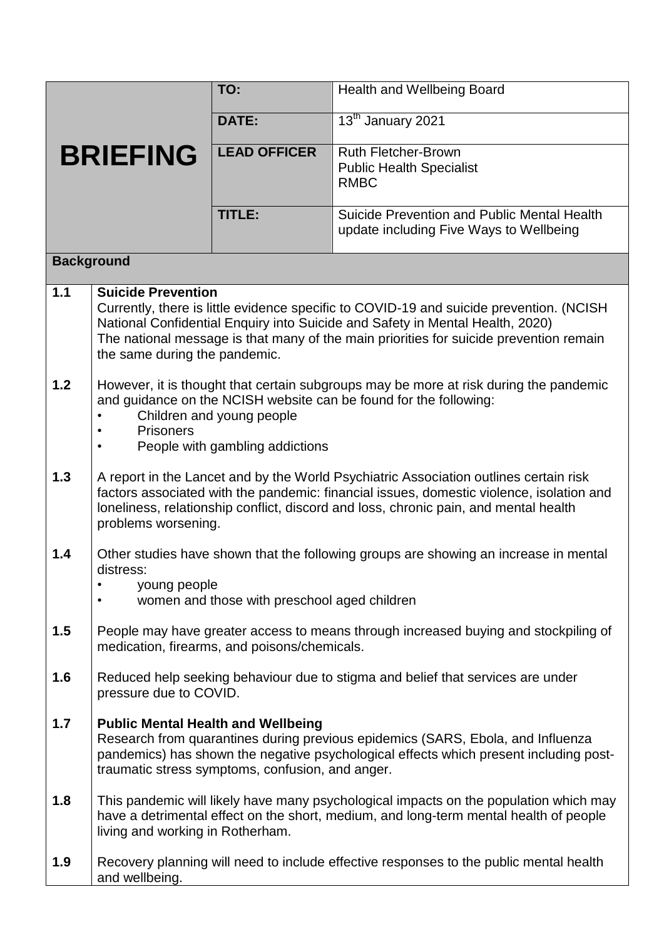| <b>BRIEFING</b>   |                                                                                                                                                                                                                                                                                                                                  | TO:                 | <b>Health and Wellbeing Board</b>                                                                                                                                              |
|-------------------|----------------------------------------------------------------------------------------------------------------------------------------------------------------------------------------------------------------------------------------------------------------------------------------------------------------------------------|---------------------|--------------------------------------------------------------------------------------------------------------------------------------------------------------------------------|
|                   |                                                                                                                                                                                                                                                                                                                                  | <b>DATE:</b>        | 13 <sup>th</sup> January 2021                                                                                                                                                  |
|                   |                                                                                                                                                                                                                                                                                                                                  | <b>LEAD OFFICER</b> | <b>Ruth Fletcher-Brown</b><br><b>Public Health Specialist</b><br><b>RMBC</b>                                                                                                   |
|                   |                                                                                                                                                                                                                                                                                                                                  | TITLE:              | Suicide Prevention and Public Mental Health<br>update including Five Ways to Wellbeing                                                                                         |
| <b>Background</b> |                                                                                                                                                                                                                                                                                                                                  |                     |                                                                                                                                                                                |
| 1.1               | <b>Suicide Prevention</b><br>Currently, there is little evidence specific to COVID-19 and suicide prevention. (NCISH<br>National Confidential Enquiry into Suicide and Safety in Mental Health, 2020)<br>The national message is that many of the main priorities for suicide prevention remain<br>the same during the pandemic. |                     |                                                                                                                                                                                |
| 1.2               | However, it is thought that certain subgroups may be more at risk during the pandemic<br>and guidance on the NCISH website can be found for the following:<br>Children and young people<br><b>Prisoners</b><br>People with gambling addictions                                                                                   |                     |                                                                                                                                                                                |
| 1.3               | A report in the Lancet and by the World Psychiatric Association outlines certain risk<br>factors associated with the pandemic: financial issues, domestic violence, isolation and<br>loneliness, relationship conflict, discord and loss, chronic pain, and mental health<br>problems worsening.                                 |                     |                                                                                                                                                                                |
| 1.4               | Other studies have shown that the following groups are showing an increase in mental<br>distress:<br>young people<br>women and those with preschool aged children                                                                                                                                                                |                     |                                                                                                                                                                                |
| 1.5               | People may have greater access to means through increased buying and stockpiling of<br>medication, firearms, and poisons/chemicals.                                                                                                                                                                                              |                     |                                                                                                                                                                                |
| 1.6               | Reduced help seeking behaviour due to stigma and belief that services are under<br>pressure due to COVID.                                                                                                                                                                                                                        |                     |                                                                                                                                                                                |
| 1.7               | <b>Public Mental Health and Wellbeing</b><br>Research from quarantines during previous epidemics (SARS, Ebola, and Influenza<br>pandemics) has shown the negative psychological effects which present including post-<br>traumatic stress symptoms, confusion, and anger.                                                        |                     |                                                                                                                                                                                |
| 1.8               | living and working in Rotherham.                                                                                                                                                                                                                                                                                                 |                     | This pandemic will likely have many psychological impacts on the population which may<br>have a detrimental effect on the short, medium, and long-term mental health of people |
| 1.9               | and wellbeing.                                                                                                                                                                                                                                                                                                                   |                     | Recovery planning will need to include effective responses to the public mental health                                                                                         |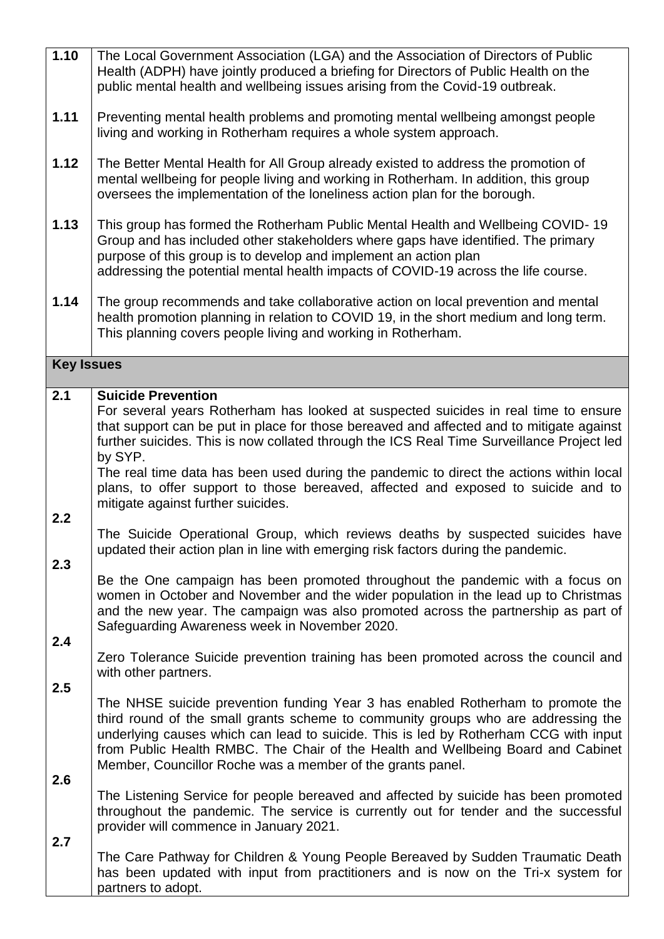| 1.10              | The Local Government Association (LGA) and the Association of Directors of Public<br>Health (ADPH) have jointly produced a briefing for Directors of Public Health on the<br>public mental health and wellbeing issues arising from the Covid-19 outbreak.                                                                                                                                                     |
|-------------------|----------------------------------------------------------------------------------------------------------------------------------------------------------------------------------------------------------------------------------------------------------------------------------------------------------------------------------------------------------------------------------------------------------------|
| 1.11              | Preventing mental health problems and promoting mental wellbeing amongst people<br>living and working in Rotherham requires a whole system approach.                                                                                                                                                                                                                                                           |
| 1.12              | The Better Mental Health for All Group already existed to address the promotion of<br>mental wellbeing for people living and working in Rotherham. In addition, this group<br>oversees the implementation of the loneliness action plan for the borough.                                                                                                                                                       |
| 1.13              | This group has formed the Rotherham Public Mental Health and Wellbeing COVID-19<br>Group and has included other stakeholders where gaps have identified. The primary<br>purpose of this group is to develop and implement an action plan<br>addressing the potential mental health impacts of COVID-19 across the life course.                                                                                 |
| 1.14              | The group recommends and take collaborative action on local prevention and mental<br>health promotion planning in relation to COVID 19, in the short medium and long term.<br>This planning covers people living and working in Rotherham.                                                                                                                                                                     |
| <b>Key Issues</b> |                                                                                                                                                                                                                                                                                                                                                                                                                |
| 2.1               | <b>Suicide Prevention</b>                                                                                                                                                                                                                                                                                                                                                                                      |
|                   | For several years Rotherham has looked at suspected suicides in real time to ensure<br>that support can be put in place for those bereaved and affected and to mitigate against<br>further suicides. This is now collated through the ICS Real Time Surveillance Project led<br>by SYP.                                                                                                                        |
| 2.2               | The real time data has been used during the pandemic to direct the actions within local<br>plans, to offer support to those bereaved, affected and exposed to suicide and to<br>mitigate against further suicides.                                                                                                                                                                                             |
| 2.3               | The Suicide Operational Group, which reviews deaths by suspected suicides have<br>updated their action plan in line with emerging risk factors during the pandemic.                                                                                                                                                                                                                                            |
| 2.4               | Be the One campaign has been promoted throughout the pandemic with a focus on<br>women in October and November and the wider population in the lead up to Christmas<br>and the new year. The campaign was also promoted across the partnership as part of<br>Safeguarding Awareness week in November 2020.                                                                                                     |
|                   | Zero Tolerance Suicide prevention training has been promoted across the council and<br>with other partners.                                                                                                                                                                                                                                                                                                    |
| 2.5<br>2.6        | The NHSE suicide prevention funding Year 3 has enabled Rotherham to promote the<br>third round of the small grants scheme to community groups who are addressing the<br>underlying causes which can lead to suicide. This is led by Rotherham CCG with input<br>from Public Health RMBC. The Chair of the Health and Wellbeing Board and Cabinet<br>Member, Councillor Roche was a member of the grants panel. |
| 2.7               | The Listening Service for people bereaved and affected by suicide has been promoted<br>throughout the pandemic. The service is currently out for tender and the successful<br>provider will commence in January 2021.                                                                                                                                                                                          |
|                   | The Care Pathway for Children & Young People Bereaved by Sudden Traumatic Death<br>has been updated with input from practitioners and is now on the Tri-x system for<br>partners to adopt.                                                                                                                                                                                                                     |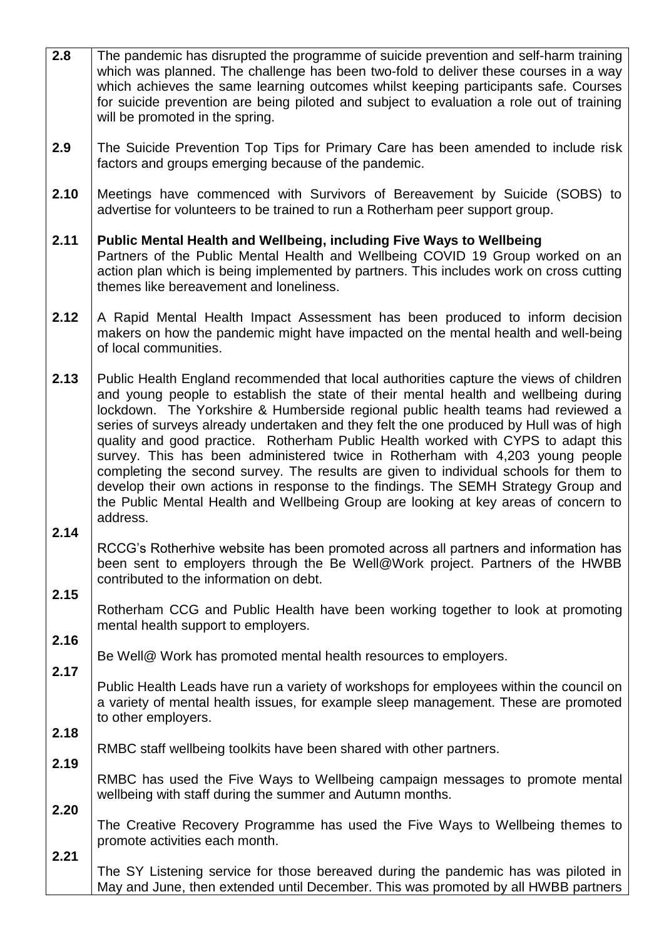| 2.8  | The pandemic has disrupted the programme of suicide prevention and self-harm training<br>which was planned. The challenge has been two-fold to deliver these courses in a way<br>which achieves the same learning outcomes whilst keeping participants safe. Courses<br>for suicide prevention are being piloted and subject to evaluation a role out of training<br>will be promoted in the spring.                                                                                                                                                                                                                                                                                                                                                                                                                 |  |  |
|------|----------------------------------------------------------------------------------------------------------------------------------------------------------------------------------------------------------------------------------------------------------------------------------------------------------------------------------------------------------------------------------------------------------------------------------------------------------------------------------------------------------------------------------------------------------------------------------------------------------------------------------------------------------------------------------------------------------------------------------------------------------------------------------------------------------------------|--|--|
| 2.9  | The Suicide Prevention Top Tips for Primary Care has been amended to include risk<br>factors and groups emerging because of the pandemic.                                                                                                                                                                                                                                                                                                                                                                                                                                                                                                                                                                                                                                                                            |  |  |
| 2.10 | Meetings have commenced with Survivors of Bereavement by Suicide (SOBS) to<br>advertise for volunteers to be trained to run a Rotherham peer support group.                                                                                                                                                                                                                                                                                                                                                                                                                                                                                                                                                                                                                                                          |  |  |
| 2.11 | <b>Public Mental Health and Wellbeing, including Five Ways to Wellbeing</b><br>Partners of the Public Mental Health and Wellbeing COVID 19 Group worked on an<br>action plan which is being implemented by partners. This includes work on cross cutting<br>themes like bereavement and loneliness.                                                                                                                                                                                                                                                                                                                                                                                                                                                                                                                  |  |  |
| 2.12 | A Rapid Mental Health Impact Assessment has been produced to inform decision<br>makers on how the pandemic might have impacted on the mental health and well-being<br>of local communities.                                                                                                                                                                                                                                                                                                                                                                                                                                                                                                                                                                                                                          |  |  |
| 2.13 | Public Health England recommended that local authorities capture the views of children<br>and young people to establish the state of their mental health and wellbeing during<br>lockdown. The Yorkshire & Humberside regional public health teams had reviewed a<br>series of surveys already undertaken and they felt the one produced by Hull was of high<br>quality and good practice. Rotherham Public Health worked with CYPS to adapt this<br>survey. This has been administered twice in Rotherham with 4,203 young people<br>completing the second survey. The results are given to individual schools for them to<br>develop their own actions in response to the findings. The SEMH Strategy Group and<br>the Public Mental Health and Wellbeing Group are looking at key areas of concern to<br>address. |  |  |
| 2.14 | RCCG's Rotherhive website has been promoted across all partners and information has<br>been sent to employers through the Be Well@Work project. Partners of the HWBB<br>contributed to the information on debt.                                                                                                                                                                                                                                                                                                                                                                                                                                                                                                                                                                                                      |  |  |
| 2.15 | Rotherham CCG and Public Health have been working together to look at promoting<br>mental health support to employers.                                                                                                                                                                                                                                                                                                                                                                                                                                                                                                                                                                                                                                                                                               |  |  |
| 2.16 | Be Well@ Work has promoted mental health resources to employers.                                                                                                                                                                                                                                                                                                                                                                                                                                                                                                                                                                                                                                                                                                                                                     |  |  |
| 2.17 | Public Health Leads have run a variety of workshops for employees within the council on<br>a variety of mental health issues, for example sleep management. These are promoted<br>to other employers.                                                                                                                                                                                                                                                                                                                                                                                                                                                                                                                                                                                                                |  |  |
| 2.18 | RMBC staff wellbeing toolkits have been shared with other partners.                                                                                                                                                                                                                                                                                                                                                                                                                                                                                                                                                                                                                                                                                                                                                  |  |  |
| 2.19 | RMBC has used the Five Ways to Wellbeing campaign messages to promote mental<br>wellbeing with staff during the summer and Autumn months.                                                                                                                                                                                                                                                                                                                                                                                                                                                                                                                                                                                                                                                                            |  |  |
| 2.20 | The Creative Recovery Programme has used the Five Ways to Wellbeing themes to<br>promote activities each month.                                                                                                                                                                                                                                                                                                                                                                                                                                                                                                                                                                                                                                                                                                      |  |  |
| 2.21 | The SY Listening service for those bereaved during the pandemic has was piloted in<br>May and June, then extended until December. This was promoted by all HWBB partners                                                                                                                                                                                                                                                                                                                                                                                                                                                                                                                                                                                                                                             |  |  |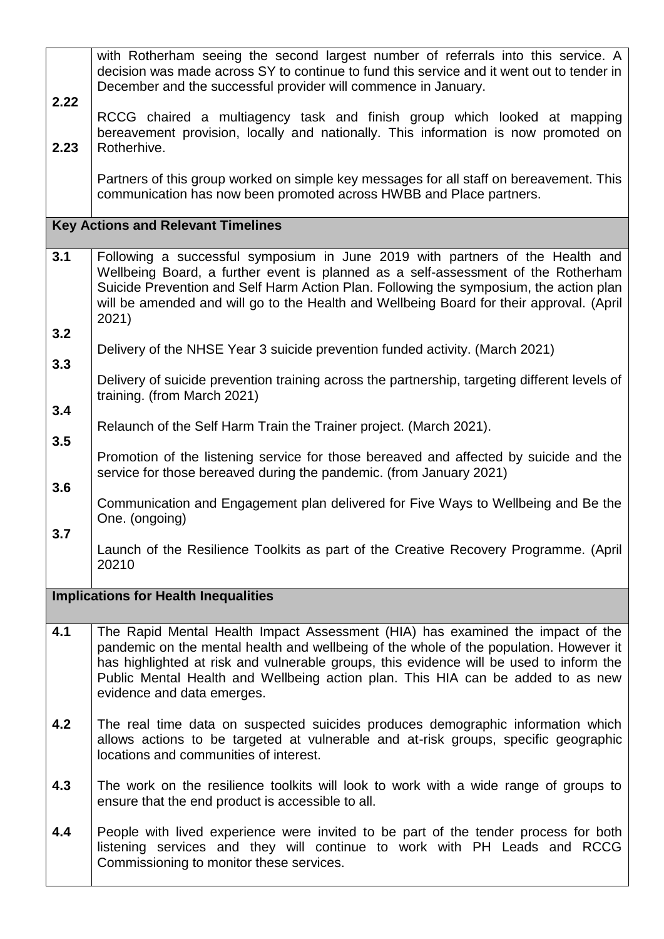| 2.22<br>2.23 | with Rotherham seeing the second largest number of referrals into this service. A<br>decision was made across SY to continue to fund this service and it went out to tender in<br>December and the successful provider will commence in January.<br>RCCG chaired a multiagency task and finish group which looked at mapping<br>bereavement provision, locally and nationally. This information is now promoted on<br>Rotherhive.<br>Partners of this group worked on simple key messages for all staff on bereavement. This<br>communication has now been promoted across HWBB and Place partners. |  |  |
|--------------|-----------------------------------------------------------------------------------------------------------------------------------------------------------------------------------------------------------------------------------------------------------------------------------------------------------------------------------------------------------------------------------------------------------------------------------------------------------------------------------------------------------------------------------------------------------------------------------------------------|--|--|
|              | <b>Key Actions and Relevant Timelines</b>                                                                                                                                                                                                                                                                                                                                                                                                                                                                                                                                                           |  |  |
| 3.1<br>3.2   | Following a successful symposium in June 2019 with partners of the Health and<br>Wellbeing Board, a further event is planned as a self-assessment of the Rotherham<br>Suicide Prevention and Self Harm Action Plan. Following the symposium, the action plan<br>will be amended and will go to the Health and Wellbeing Board for their approval. (April<br>2021)                                                                                                                                                                                                                                   |  |  |
| 3.3          | Delivery of the NHSE Year 3 suicide prevention funded activity. (March 2021)                                                                                                                                                                                                                                                                                                                                                                                                                                                                                                                        |  |  |
| 3.4          | Delivery of suicide prevention training across the partnership, targeting different levels of<br>training. (from March 2021)                                                                                                                                                                                                                                                                                                                                                                                                                                                                        |  |  |
|              | Relaunch of the Self Harm Train the Trainer project. (March 2021).                                                                                                                                                                                                                                                                                                                                                                                                                                                                                                                                  |  |  |
| 3.5          | Promotion of the listening service for those bereaved and affected by suicide and the<br>service for those bereaved during the pandemic. (from January 2021)                                                                                                                                                                                                                                                                                                                                                                                                                                        |  |  |
| 3.6          | Communication and Engagement plan delivered for Five Ways to Wellbeing and Be the<br>One. (ongoing)                                                                                                                                                                                                                                                                                                                                                                                                                                                                                                 |  |  |
| 3.7          | Launch of the Resilience Toolkits as part of the Creative Recovery Programme. (April<br>20210                                                                                                                                                                                                                                                                                                                                                                                                                                                                                                       |  |  |
|              | <b>Implications for Health Inequalities</b>                                                                                                                                                                                                                                                                                                                                                                                                                                                                                                                                                         |  |  |
| 4.1          | The Rapid Mental Health Impact Assessment (HIA) has examined the impact of the<br>pandemic on the mental health and wellbeing of the whole of the population. However it<br>has highlighted at risk and vulnerable groups, this evidence will be used to inform the<br>Public Mental Health and Wellbeing action plan. This HIA can be added to as new<br>evidence and data emerges.                                                                                                                                                                                                                |  |  |
| 4.2          | The real time data on suspected suicides produces demographic information which<br>allows actions to be targeted at vulnerable and at-risk groups, specific geographic<br>locations and communities of interest.                                                                                                                                                                                                                                                                                                                                                                                    |  |  |
| 4.3          | The work on the resilience toolkits will look to work with a wide range of groups to<br>ensure that the end product is accessible to all.                                                                                                                                                                                                                                                                                                                                                                                                                                                           |  |  |
| 4.4          | People with lived experience were invited to be part of the tender process for both<br>listening services and they will continue to work with PH Leads and RCCG<br>Commissioning to monitor these services.                                                                                                                                                                                                                                                                                                                                                                                         |  |  |